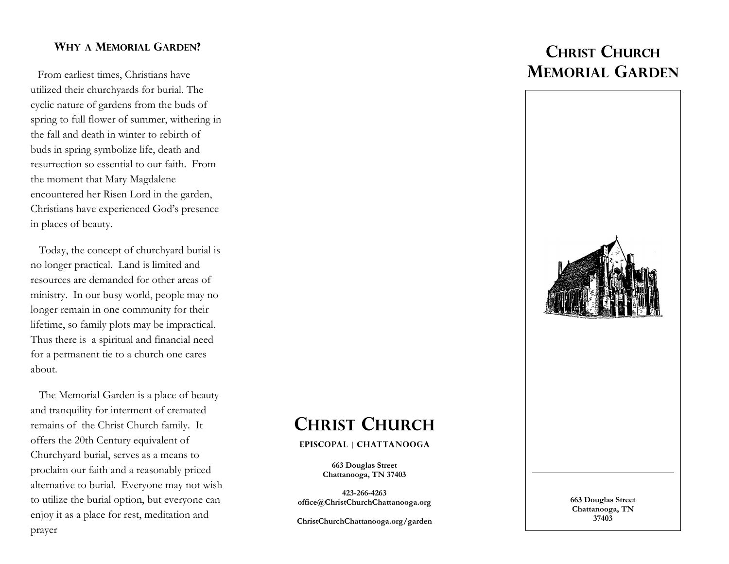### **WHY A MEMORIAL GARDEN?**

From earliest times, Christians have utilized their churchyards for burial. The cyclic nature of gardens from the buds of spring to full flower of summer, withering in the fall and death in winter to rebirth of buds in spring symbolize life, death and resurrection so essential to our faith. From the moment that Mary Magdalene encountered her Risen Lord in the garden, Christians have experienced God's presence in places of beauty.

 Today, the concept of churchyard burial is no longer practical. Land is limited and resources are demanded for other areas of ministry. In our busy world, people may no longer remain in one community for their lifetime, so family plots may be impractical. Thus there is a spiritual and financial need for a permanent tie to a church one cares about.

 The Memorial Garden is a place of beauty and tranquility for interment of cremated remains of the Christ Church family. It offers the 20th Century equivalent of Churchyard burial, serves as a means to proclaim our faith and a reasonably priced alternative to burial. Everyone may not wish to utilize the burial option, but everyone can enjoy it as a place for rest, meditation and prayer

# **CHRIST CHURCH MEMORIAL GARDEN**



# **CHRIST CHURCH**

#### EPISCOPAL | CHATTANOOGA

**663 Douglas Street Chattanooga, TN 37403**

**423-266-4263 office@ChristChurchChattanooga.org**

**ChristChurchChattanooga.org/garden**